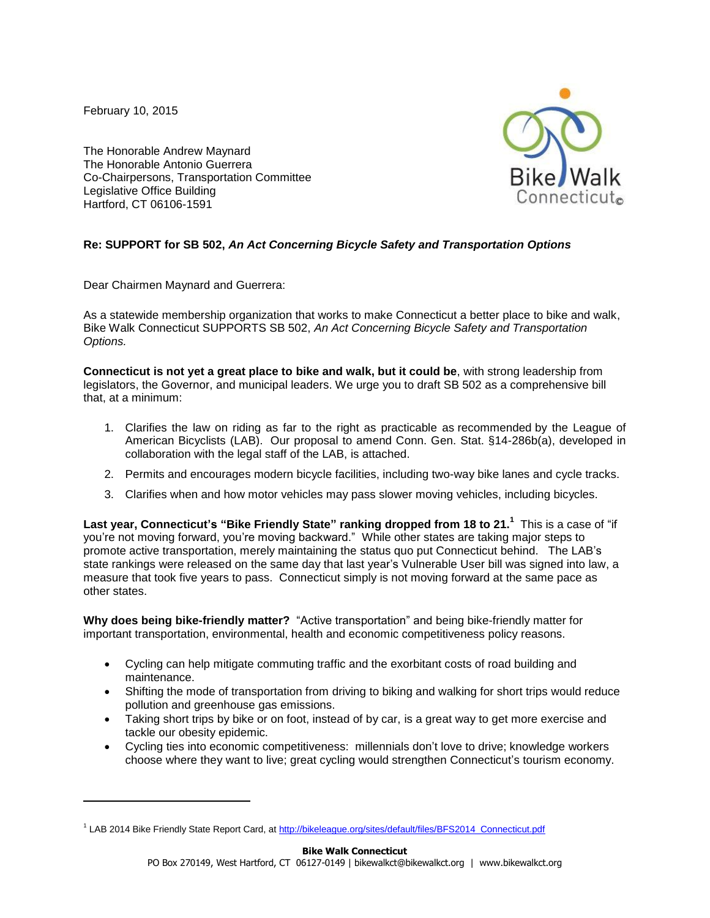February 10, 2015

 $\overline{a}$ 

The Honorable Andrew Maynard The Honorable Antonio Guerrera Co-Chairpersons, Transportation Committee Legislative Office Building Hartford, CT 06106-1591

### **Re: SUPPORT for SB 502,** *An Act Concerning Bicycle Safety and Transportation Options*

Dear Chairmen Maynard and Guerrera:

As a statewide membership organization that works to make Connecticut a better place to bike and walk, Bike Walk Connecticut SUPPORTS SB 502, *An Act Concerning Bicycle Safety and Transportation Options.* 

**Connecticut is not yet a great place to bike and walk, but it could be**, with strong leadership from legislators, the Governor, and municipal leaders. We urge you to draft SB 502 as a comprehensive bill that, at a minimum:

- 1. Clarifies the law on riding as far to the right as practicable as recommended by the League of American Bicyclists (LAB). Our proposal to amend Conn. Gen. Stat. §14-286b(a), developed in collaboration with the legal staff of the LAB, is attached.
- 2. Permits and encourages modern bicycle facilities, including two-way bike lanes and cycle tracks.
- 3. Clarifies when and how motor vehicles may pass slower moving vehicles, including bicycles.

**Last year, Connecticut's "Bike Friendly State" ranking dropped from 18 to 21.<sup>1</sup>** This is a case of "if you're not moving forward, you're moving backward." While other states are taking major steps to promote active transportation, merely maintaining the status quo put Connecticut behind. The LAB's state rankings were released on the same day that last year's Vulnerable User bill was signed into law, a measure that took five years to pass. Connecticut simply is not moving forward at the same pace as other states.

**Why does being bike-friendly matter?** "Active transportation" and being bike-friendly matter for important transportation, environmental, health and economic competitiveness policy reasons.

- Cycling can help mitigate commuting traffic and the exorbitant costs of road building and maintenance.
- Shifting the mode of transportation from driving to biking and walking for short trips would reduce pollution and greenhouse gas emissions.
- Taking short trips by bike or on foot, instead of by car, is a great way to get more exercise and tackle our obesity epidemic.
- Cycling ties into economic competitiveness: millennials don't love to drive; knowledge workers choose where they want to live; great cycling would strengthen Connecticut's tourism economy.

<sup>&</sup>lt;sup>1</sup> LAB 2014 Bike Friendly State Report Card, a[t http://bikeleague.org/sites/default/files/BFS2014\\_Connecticut.pdf](http://bikeleague.org/sites/default/files/BFS2014_Connecticut.pdf)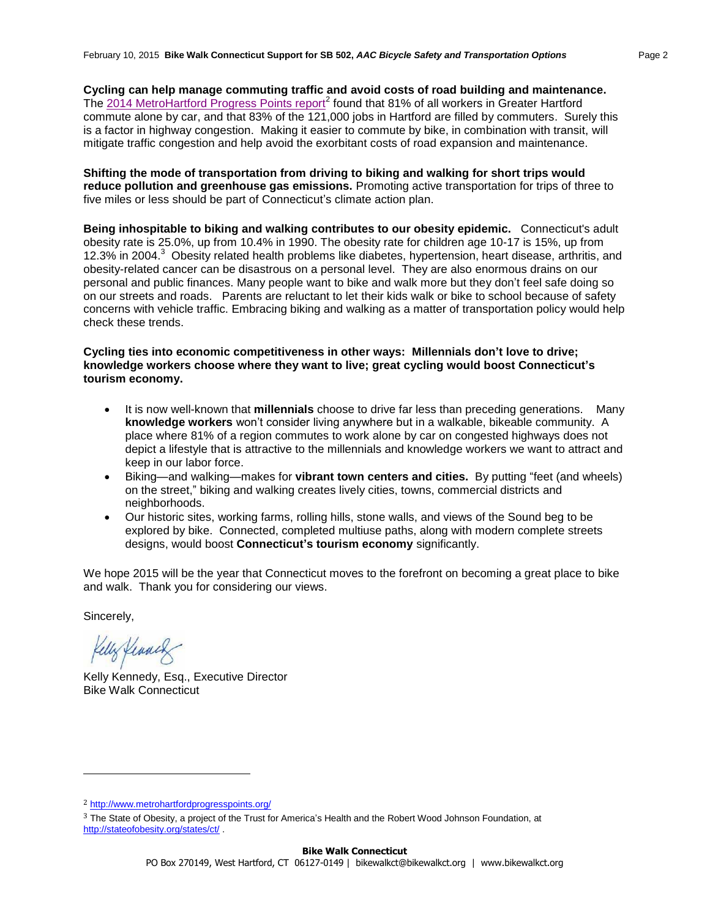**Cycling can help manage commuting traffic and avoid costs of road building and maintenance.** The [2014 MetroHartford Progress Points report](http://www.metrohartfordprogresspoints.org/downloads/Metro_Hartford_Progress_Points_2014.pdf)<sup>2</sup> found that 81% of all workers in Greater Hartford commute alone by car, and that 83% of the 121,000 jobs in Hartford are filled by commuters. Surely this is a factor in highway congestion. Making it easier to commute by bike, in combination with transit, will mitigate traffic congestion and help avoid the exorbitant costs of road expansion and maintenance.

**Shifting the mode of transportation from driving to biking and walking for short trips would reduce pollution and greenhouse gas emissions.** Promoting active transportation for trips of three to five miles or less should be part of Connecticut's climate action plan.

**Being inhospitable to biking and walking contributes to our obesity epidemic.** Connecticut's adult obesity rate is 25.0%, up from 10.4% in 1990. The obesity rate for children age 10-17 is 15%, up from 12.3% in 2004. 3 Obesity related health problems like diabetes, hypertension, heart disease, arthritis, and obesity-related cancer can be disastrous on a personal level. They are also enormous drains on our personal and public finances. Many people want to bike and walk more but they don't feel safe doing so on our streets and roads. Parents are reluctant to let their kids walk or bike to school because of safety concerns with vehicle traffic. Embracing biking and walking as a matter of transportation policy would help check these trends.

#### **Cycling ties into economic competitiveness in other ways: Millennials don't love to drive; knowledge workers choose where they want to live; great cycling would boost Connecticut's tourism economy.**

- It is now well-known that **millennials** choose to drive far less than preceding generations. Many **knowledge workers** won't consider living anywhere but in a walkable, bikeable community. A place where 81% of a region commutes to work alone by car on congested highways does not depict a lifestyle that is attractive to the millennials and knowledge workers we want to attract and keep in our labor force.
- Biking—and walking—makes for **vibrant town centers and cities.** By putting "feet (and wheels) on the street," biking and walking creates lively cities, towns, commercial districts and neighborhoods.
- Our historic sites, working farms, rolling hills, stone walls, and views of the Sound beg to be explored by bike. Connected, completed multiuse paths, along with modern complete streets designs, would boost **Connecticut's tourism economy** significantly.

We hope 2015 will be the year that Connecticut moves to the forefront on becoming a great place to bike and walk. Thank you for considering our views.

Sincerely,

l

Kelly Kennes

Kelly Kennedy, Esq., Executive Director Bike Walk Connecticut

<sup>2</sup> <http://www.metrohartfordprogresspoints.org/>

<sup>3</sup> The State of Obesity, a project of the Trust for America's Health and the Robert Wood Johnson Foundation, at <http://stateofobesity.org/states/ct/> .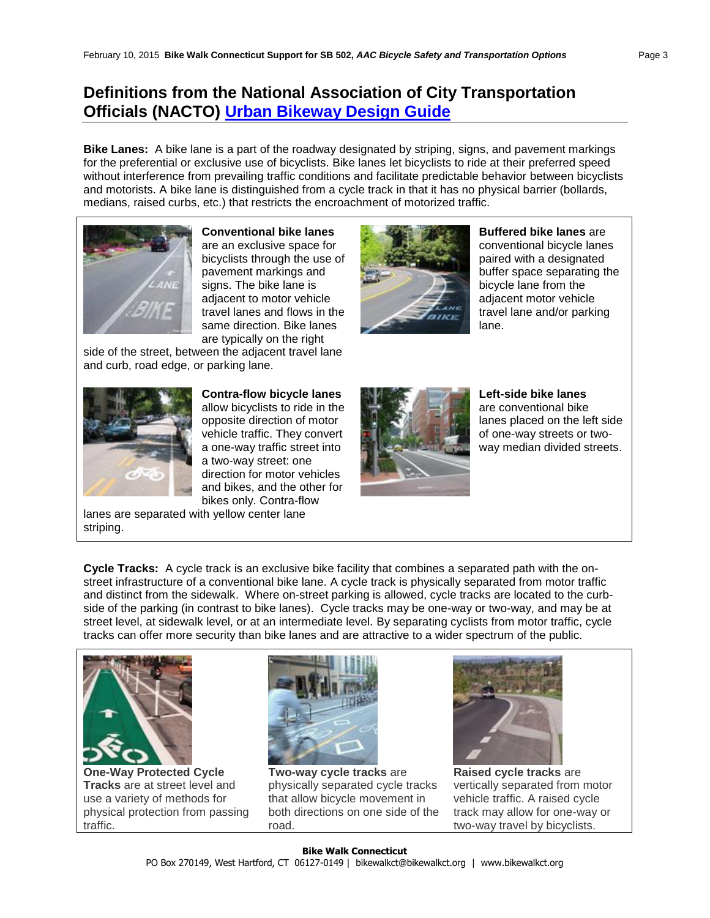# **Definitions from the National Association of City Transportation Officials (NACTO) [Urban Bikeway Design Guide](http://nacto.org/cities-for-cycling/design-guide/)**

**Bike Lanes:** A bike lane is a part of the roadway designated by striping, signs, and pavement markings for the preferential or exclusive use of bicyclists. Bike lanes let bicyclists to ride at their preferred speed without interference from prevailing traffic conditions and facilitate predictable behavior between bicyclists and motorists. A bike lane is distinguished from a cycle track in that it has no physical barrier (bollards, medians, raised curbs, etc.) that restricts the encroachment of motorized traffic.



**Conventional bike lanes** are an exclusive space for bicyclists through the use of pavement markings and signs. The bike lane is adjacent to motor vehicle travel lanes and flows in the same direction. Bike lanes are typically on the right

side of the street, between the adjacent travel lane and curb, road edge, or parking lane.



**Buffered bike lanes** are conventional bicycle lanes paired with a designated buffer space separating the bicycle lane from the adjacent motor vehicle travel lane and/or parking lane.



**Contra-flow bicycle lanes** allow bicyclists to ride in the opposite direction of motor vehicle traffic. They convert a one-way traffic street into a two-way street: one direction for motor vehicles and bikes, and the other for bikes only. Contra-flow



**Left-side bike lanes** are conventional bike lanes placed on the left side of one-way streets or twoway median divided streets.

lanes are separated with yellow center lane striping.

**Cycle Tracks:** A cycle track is an exclusive bike facility that combines a separated path with the onstreet infrastructure of a conventional bike lane. A cycle track is physically separated from motor traffic and distinct from the sidewalk. Where on-street parking is allowed, cycle tracks are located to the curbside of the parking (in contrast to bike lanes). Cycle tracks may be one-way or two-way, and may be at street level, at sidewalk level, or at an intermediate level. By separating cyclists from motor traffic, cycle tracks can offer more security than bike lanes and are attractive to a wider spectrum of the public.



**[One-Way Protected Cycle](http://nacto.org/cities-for-cycling/design-guide/cycle-tracks/one-way-protected-cycle-tracks/)  [Tracks](http://nacto.org/cities-for-cycling/design-guide/cycle-tracks/one-way-protected-cycle-tracks/)** are at street level and use a variety of methods for physical protection from passing traffic.



**Two-way cycle tracks** are physically separated cycle tracks that allow bicycle movement in both directions on one side of the road.



**Raised cycle tracks** are vertically separated from motor vehicle traffic. A raised cycle track may allow for one-way or two-way travel by bicyclists.